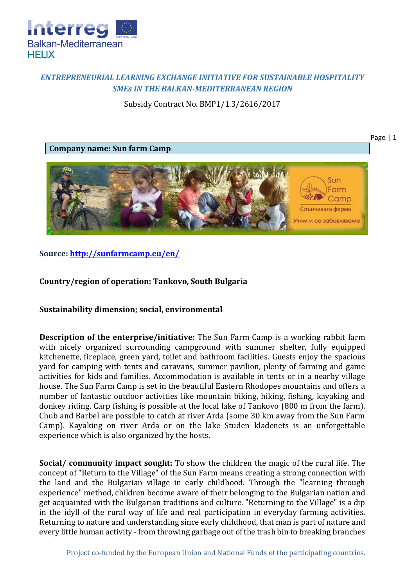

## *ENTREPRENEURIAL LEARNING EXCHANGE INITIATIVE FOR SUSTAINABLE HOSPITALITY SMEs IN THE BALKAN-MEDITERRANEAN REGION*

Subsidy Contract No. BMP1/1.3/2616/2017



**Source:<http://sunfarmcamp.eu/en/>**

## **Country/region of operation: Tankovo, South Bulgaria**

**Sustainability dimension; social, environmental**

**Description of the enterprise/initiative:** The Sun Farm Camp is a working rabbit farm with nicely organized surrounding campground with summer shelter, fully equipped kitchenette, fireplace, green yard, toilet and bathroom facilities. Guests enjoy the spacious yard for camping with tents and caravans, summer pavilion, plenty of farming and game activities for kids and families. Accommodation is available in tents or in a nearby village house. The Sun Farm Camp is set in the beautiful Eastern Rhodopes mountains and offers a number of fantastic outdoor activities like mountain biking, hiking, fishing, kayaking and donkey riding. Carp fishing is possible at the local lake of Tankovo (800 m from the farm). Chub and Barbel are possible to catch at river Arda (some 30 km away from the Sun Farm Camp). Kayaking on river Arda or on the lake Studen kladenets is an unforgettable experience which is also organized by the hosts.

**Social/ community impact sought:** To show the children the magic of the rural life. The concept of "Return to the Village" of the Sun Farm means creating a strong connection with the land and the Bulgarian village in early childhood. Through the "learning through experience" method, children become aware of their belonging to the Bulgarian nation and get acquainted with the Bulgarian traditions and culture. "Returning to the Village" is a dip in the idyll of the rural way of life and real participation in everyday farming activities. Returning to nature and understanding since early childhood, that man is part of nature and every little human activity - from throwing garbage out of the trash bin to breaking branches